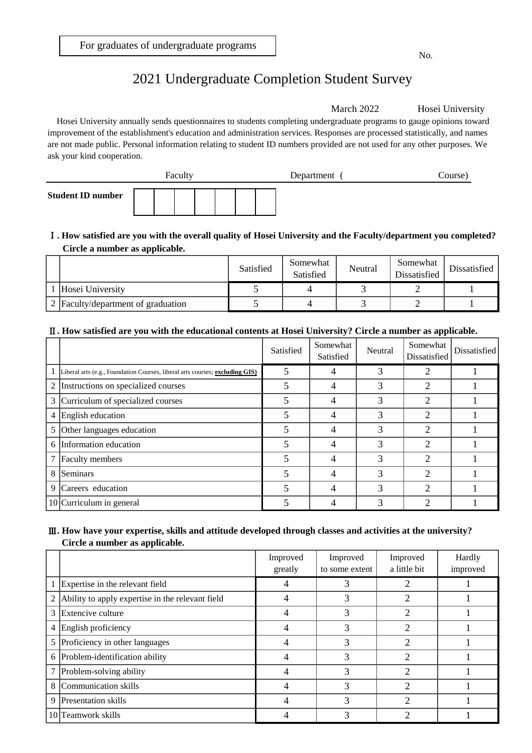# 2021 Undergraduate Completion Student Survey

March 2022 Hosei University

Hosei University annually sends questionnaires to students completing undergraduate programs to gauge opinions toward improvement of the establishment's education and administration services. Responses are processed statistically, and names are not made public. Personal information relating to student ID numbers provided are not used for any other purposes. We ask your kind cooperation.



#### **Circle a number as applicable.** Ⅰ**. How satisfied are you with the overall quality of Hosei University and the Faculty/department you completed?**

|                                    | Satisfied | Somewhat<br>Satisfied | Neutral | Somewhat<br>Dissatisfied | Dissatisfied |
|------------------------------------|-----------|-----------------------|---------|--------------------------|--------------|
| Hosei University                   |           |                       |         |                          |              |
| 2 Faculty/department of graduation |           |                       |         |                          |              |

### Ⅱ**. How satisfied are you with the educational contents at Hosei University? Circle a number as applicable.**

|   |                                                                              | Satisfied | Somewhat<br>Satisfied | Neutral       | Somewhat<br>Dissatisfied | Dissatisfied |
|---|------------------------------------------------------------------------------|-----------|-----------------------|---------------|--------------------------|--------------|
|   | Liberal arts (e.g., Foundation Courses, liberal arts courses; excluding GIS) | 5         |                       | 3             |                          |              |
| 2 | Instructions on specialized courses                                          | 5         | 4                     | 3             | ∍                        |              |
|   | 3 Curriculum of specialized courses                                          | 5         | 4                     | 3             | 2                        |              |
|   | 4 English education                                                          | 5         | 4                     | 3             | ↑                        |              |
|   | 5 Other languages education                                                  | 5         | 4                     | 3             | 2                        |              |
|   | 6 Information education                                                      | 5         | 4                     | $\mathcal{R}$ |                          |              |
| 7 | <b>Faculty</b> members                                                       |           | 4                     | 3             | ↑                        |              |
| 8 | Seminars                                                                     | 5         | 4                     | 3             | ↑                        |              |
| 9 | Careers education                                                            | 5         | 4                     | 3             | ↑                        |              |
|   | $10$ Curriculum in general                                                   |           | 4                     | 3             | ⌒                        |              |

### Ⅲ**. How have your expertise, skills and attitude developed through classes and activities at the university? Circle a number as applicable.**

|   |                                                  | Improved<br>greatly | Improved<br>to some extent | Improved<br>a little bit | Hardly<br>improved |
|---|--------------------------------------------------|---------------------|----------------------------|--------------------------|--------------------|
|   | Expertise in the relevant field                  |                     |                            |                          |                    |
| 2 | Ability to apply expertise in the relevant field |                     |                            | າ                        |                    |
|   | 3 Extencive culture                              |                     |                            | っ                        |                    |
|   | 4 English proficiency                            |                     | 3                          | ↑                        |                    |
|   | 5 Proficiency in other languages                 |                     | 3                          | ↑                        |                    |
|   | 6 Problem-identification ability                 | 4                   | 3                          | 2                        |                    |
|   | 7 Problem-solving ability                        | 4                   | 3                          | $\mathcal{D}$            |                    |
| 8 | Communication skills                             |                     | 3                          | ↑                        |                    |
| 9 | <b>Presentation skills</b>                       |                     | 3                          | າ                        |                    |
|   | 10 Teamwork skills                               |                     | 3                          | ⌒                        |                    |

No.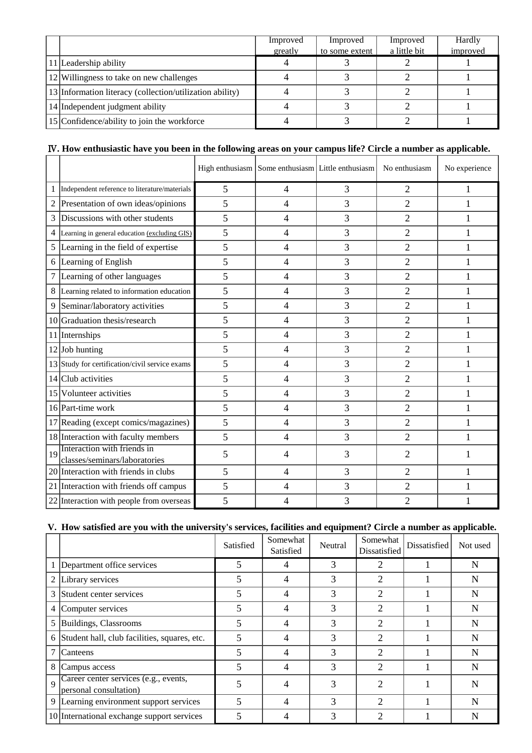|                                                          | Improved | Improved       | Improved     | Hardly   |
|----------------------------------------------------------|----------|----------------|--------------|----------|
|                                                          | greatly  | to some extent | a little bit | improved |
| 11 Leadership ability                                    |          |                |              |          |
| 12 Willingness to take on new challenges                 |          |                |              |          |
| 13 Information literacy (collection/utilization ability) |          |                |              |          |
| 14 Independent judgment ability                          |          |                |              |          |
| 15 Confidence/ability to join the workforce              |          |                |              |          |

## Ⅳ**. How enthusiastic have you been in the following areas on your campus life? Circle a number as applicable.**

|                 |                                                              |   |                | High enthusiasm Some enthusiasm Little enthusiasm | No enthusiasm  | No experience |
|-----------------|--------------------------------------------------------------|---|----------------|---------------------------------------------------|----------------|---------------|
| 1               | Independent reference to literature/materials                | 5 | 4              | 3                                                 | 2              | 1             |
| $\overline{2}$  | Presentation of own ideas/opinions                           | 5 | $\overline{4}$ | 3                                                 | $\overline{2}$ | $\mathbf{1}$  |
| 3               | Discussions with other students                              | 5 | $\overline{4}$ | 3                                                 | $\overline{2}$ |               |
| 4               | Learning in general education (excluding GIS)                | 5 | 4              | 3                                                 | $\overline{2}$ |               |
| 5               | Learning in the field of expertise                           | 5 | 4              | 3                                                 | $\overline{2}$ | 1             |
| 6               | Learning of English                                          | 5 | 4              | 3                                                 | $\overline{2}$ | 1             |
| 7               | Learning of other languages                                  | 5 | $\overline{4}$ | 3                                                 | $\overline{2}$ | $\mathbf{1}$  |
| 8               | Learning related to information education                    | 5 | $\overline{4}$ | 3                                                 | $\overline{2}$ | 1             |
| 9               | Seminar/laboratory activities                                | 5 | $\overline{4}$ | 3                                                 | $\overline{2}$ | 1             |
| 10 <sup> </sup> | Graduation thesis/research                                   | 5 | $\overline{4}$ | 3                                                 | $\overline{2}$ | 1             |
|                 | 11 Internships                                               | 5 | $\overline{4}$ | 3                                                 | $\overline{2}$ | $\mathbf{1}$  |
|                 | $12$ Job hunting                                             | 5 | $\overline{4}$ | 3                                                 | $\overline{2}$ | $\mathbf{1}$  |
|                 | 13 Study for certification/civil service exams               | 5 | $\overline{4}$ | 3                                                 | $\overline{2}$ | 1             |
|                 | $14$ Club activities                                         | 5 | $\overline{4}$ | 3                                                 | $\overline{2}$ | 1             |
|                 | 15 Volunteer activities                                      | 5 | $\overline{4}$ | 3                                                 | $\overline{2}$ | 1             |
|                 | 16 Part-time work                                            | 5 | 4              | 3                                                 | $\overline{2}$ | 1             |
|                 | 17 Reading (except comics/magazines)                         | 5 | 4              | 3                                                 | $\overline{2}$ | 1             |
|                 | 18 Interaction with faculty members                          | 5 | $\overline{4}$ | 3                                                 | $\overline{2}$ | 1             |
| 19              | Interaction with friends in<br>classes/seminars/laboratories | 5 | 4              | 3                                                 | $\overline{2}$ |               |
|                 | 20 Interaction with friends in clubs                         | 5 | $\overline{4}$ | 3                                                 | $\overline{2}$ | 1             |
|                 | 21 Interaction with friends off campus                       | 5 | $\overline{4}$ | 3                                                 | $\overline{2}$ | 1             |
|                 | 22 Interaction with people from overseas                     | 5 | 4              | 3                                                 | $\overline{2}$ |               |

## **V. How satisfied are you with the university's services, facilities and equipment? Circle a number as applicable.**

|                |                                                                 | Satisfied | Somewhat<br>Satisfied | Neutral | Somewhat<br>Dissatisfied | Dissatisfied | Not used |
|----------------|-----------------------------------------------------------------|-----------|-----------------------|---------|--------------------------|--------------|----------|
|                | Department office services                                      | 5         | 4                     | 3       | 2                        |              | N        |
| 2              | Library services                                                | 5         | 4                     | 3       | 2                        |              | N        |
| 3              | Student center services                                         | 5         | 4                     | 3       | $\overline{c}$           |              | N        |
| 4              | Computer services                                               | 5         | 4                     | 3       | $\overline{2}$           |              | N        |
| 5              | Buildings, Classrooms                                           | 5         | 4                     | 3       | 2                        |              | N        |
| 6              | Student hall, club facilities, squares, etc.                    | 5         | 4                     | 3       | $\overline{2}$           |              | N        |
| 7              | Canteens                                                        | 5         | 4                     | 3       | $\overline{2}$           |              | N        |
| 8              | Campus access                                                   |           | 4                     | 3       | $\overline{c}$           |              | N        |
| $\overline{Q}$ | Career center services (e.g., events,<br>personal consultation) | 5         |                       | 3       | 2                        |              | N        |
|                | 9  Learning environment support services                        | 5         | 4                     | 3       | $\mathfrak{D}$           |              | N        |
|                | 10 International exchange support services                      |           |                       | 3       | ∍                        |              | N        |